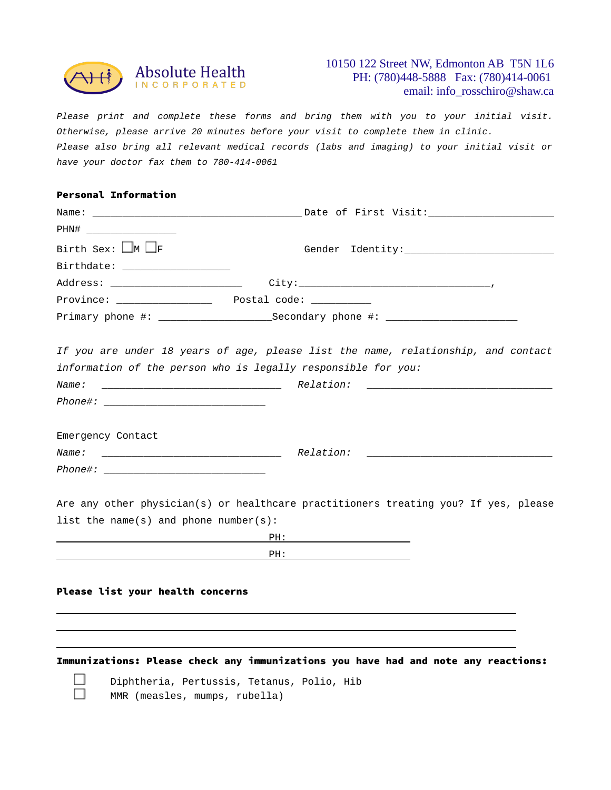

## 10150 122 Street NW, Edmonton AB T5N 1L6 PH: (780)448-5888 Fax: (780)414-0061 email: info\_rosschiro@shaw.ca

*Please print and complete these forms and bring them with you to your initial visit. Otherwise, please arrive 20 minutes before your visit to complete them in clinic. Please also bring all relevant medical records (labs and imaging) to your initial visit or have your doctor fax them to 780-414-0061*

| <b>Personal Information</b>           |                                                                                                            |  |
|---------------------------------------|------------------------------------------------------------------------------------------------------------|--|
|                                       |                                                                                                            |  |
| PHN# ________________________         |                                                                                                            |  |
| Birth Sex: $\Box$ M $\Box$ F          |                                                                                                            |  |
| Birthdate: ___________________        |                                                                                                            |  |
| Address: __________________________   |                                                                                                            |  |
|                                       |                                                                                                            |  |
|                                       |                                                                                                            |  |
|                                       |                                                                                                            |  |
|                                       | If you are under 18 years of age, please list the name, relationship, and contact                          |  |
|                                       | information of the person who is legally responsible for you:                                              |  |
| Name:                                 |                                                                                                            |  |
|                                       |                                                                                                            |  |
|                                       |                                                                                                            |  |
| Emergency Contact                     |                                                                                                            |  |
|                                       |                                                                                                            |  |
|                                       |                                                                                                            |  |
|                                       |                                                                                                            |  |
|                                       | Are any other physician(s) or healthcare practitioners treating you? If yes, please                        |  |
| list the name(s) and phone number(s): |                                                                                                            |  |
|                                       |                                                                                                            |  |
|                                       | <u>PH: Alexander PH: Alexander PH: Alexander PH: Alexander PH: Alexander PH: Alexander PH: Alexander P</u> |  |
|                                       |                                                                                                            |  |
| Please list your health concerns      |                                                                                                            |  |
|                                       |                                                                                                            |  |
|                                       |                                                                                                            |  |
|                                       |                                                                                                            |  |
|                                       |                                                                                                            |  |
|                                       | Immunizations: Please check any immunizations you have had and note any reactions:                         |  |



Diphtheria, Pertussis, Tetanus, Polio, Hib MMR (measles, mumps, rubella)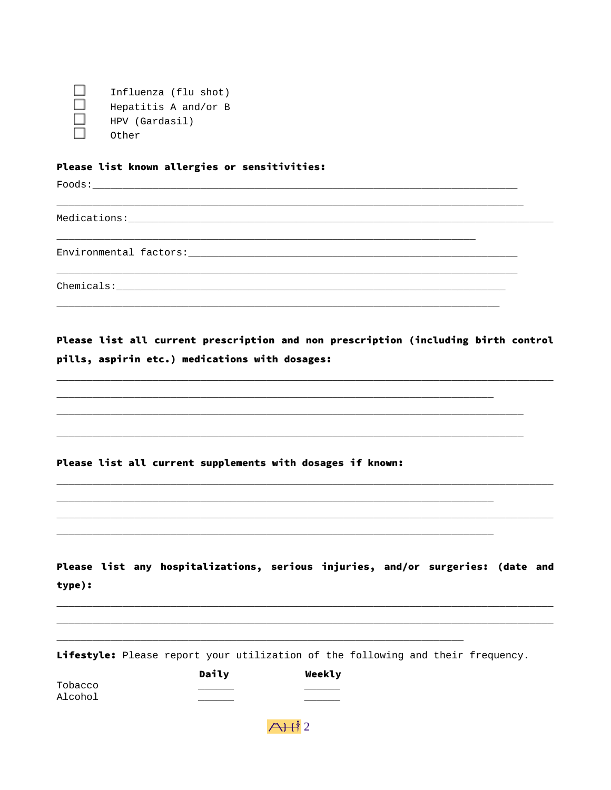П Influenza (flu shot)  $\Box$ Hepatitis A and/or B HPV (Gardasil) Other

#### Please list known allergies or sensitivities:

Foods: Note that the set of the set of the set of the set of the set of the set of the set of the set of the set of the set of the set of the set of the set of the set of the set of the set of the set of the set of the set

Medications:

Environmental factors:

Chemicals: The Chemicals:

Please list all current prescription and non prescription (including birth control pills, aspirin etc.) medications with dosages:

Please list all current supplements with dosages if known:

Please list any hospitalizations, serious injuries, and/or surgeries: (date and type):

Lifestyle: Please report your utilization of the following and their frequency.

|         | Daily | Weekly |
|---------|-------|--------|
| Tobacco |       |        |
| Alcohol |       |        |

 $A + i$  2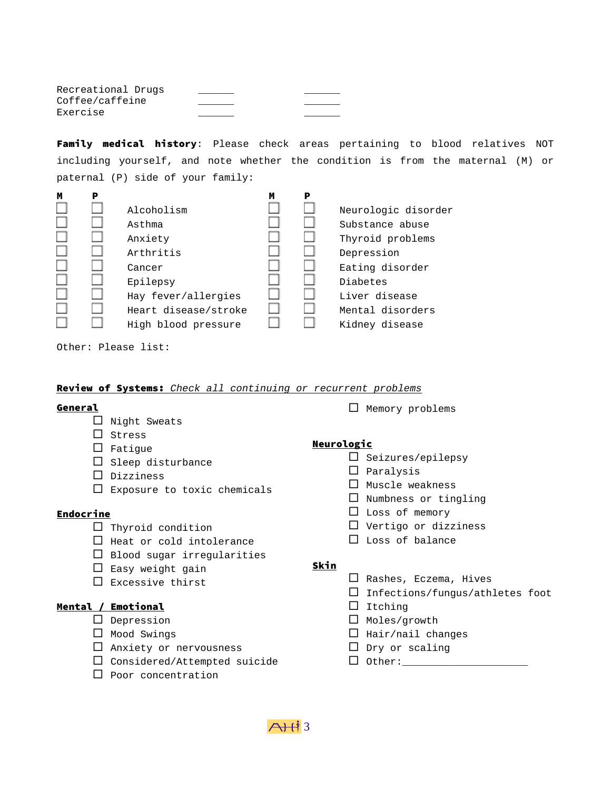Recreational Drugs Coffee/caffeine Exercise \_\_\_\_\_\_ \_\_\_\_\_\_

Family medical history: Please check areas pertaining to blood relatives NOT including yourself, and note whether the condition is from the maternal (M) or paternal (P) side of your family:



Other: Please list:

#### Review of Systems: *Check all continuing or recurrent problems*

#### General

- $\Box$  Night Sweats
- $\square$  Stress
- $\Box$  Fatique
- $\square$  Sleep disturbance
- $\square$  Dizziness
- $\square$  Exposure to toxic chemicals

## **Endocrine**

- $\Box$  Thyroid condition
- $\Box$  Heat or cold intolerance
- $\square$  Blood sugar irregularities
- $\square$  Easy weight gain
- $\square$  Excessive thirst

### Mental / Emotional

- $\square$  Depression
- $\Box$  Mood Swings
- $\Box$  Anxiety or nervousness
- $\square$  Considered/Attempted suicide
- $\square$  Poor concentration

 $\Box$  Memory problems

#### **Neurologic**

- $\square$  Seizures/epilepsy
	- $\square$  Paralysis
	- $\Box$  Muscle weakness
	- $\square$  Numbness or tingling
	- $\Box$  Loss of memory
	- $\square$  Vertigo or dizziness
	- $\Box$  Loss of balance

## Skin

- $\Box$  Rashes, Eczema, Hives
- $\square$  Infections/fungus/athletes foot
- $\Box$  Itching
- $\Box$  Moles/growth
- $\Box$  Hair/nail changes
- $\Box$  Dry or scaling
- $\square$  Other: $\_\_\_\_\_\_\_\_\_\_\_$

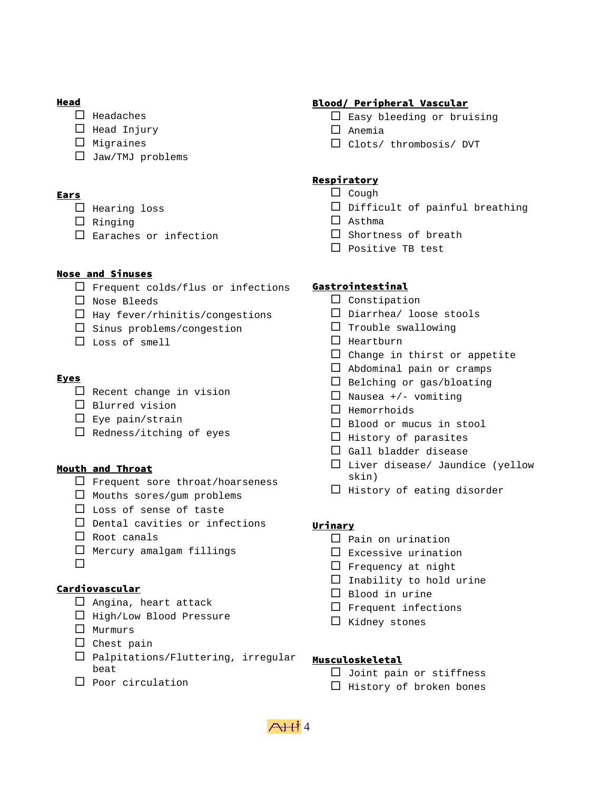## Head

- $\square$  Headaches
- $\Box$  Head Injury
- $\square$  Migraines
- $\Box$  Jaw/TMJ problems

# Ears

- $\square$  Hearing loss
- $\Box$  Ringing
- $\square$  Earaches or infection

# Nose and Sinuses

- $\Box$  Frequent colds/flus or infections
- $\square$  Nose Bleeds
- $\Box$  Hay fever/rhinitis/congestions
- $\square$  Sinus problems/congestion
- Loss of smell

# Eyes

- $\Box$  Recent change in vision
- $\square$  Blurred vision
- $\square$  Eye pain/strain
- $\Box$  Redness/itching of eyes

## Mouth and Throat

- $\Box$  Frequent sore throat/hoarseness
- $\Box$  Mouths sores/qum problems
- $\square$  Loss of sense of taste
- $\square$  Dental cavities or infections
- $\Box$  Root canals
- $\Box$  Mercury amalgam fillings
- $\Box$

## Cardiovascular

- $\Box$  Angina, heart attack
- $\Box$  High/Low Blood Pressure
- $\Box$  Murmurs
- $\square$  Chest pain
- $\square$  Palpitations/Fluttering, irregular beat
- $\Box$  Poor circulation

# Blood/ Peripheral Vascular

- $\square$  Easy bleeding or bruising
- $\Box$  Anemia
- Clots/ thrombosis/ DVT

# **Respiratory**

- $\Box$  Cough
	- $\square$  Difficult of painful breathing
	- $\square$  Asthma
	- $\square$  Shortness of breath
	- $\square$  Positive TB test

# Gastrointestinal

- $\Box$  Constipation
- $\square$  Diarrhea/ loose stools
- $\Box$  Trouble swallowing
- $\Box$  Heartburn
- $\square$  Change in thirst or appetite
- $\Box$  Abdominal pain or cramps
- $\square$  Belching or gas/bloating
- $\Box$  Nausea +/- vomiting
- $\Box$  Hemorrhoids
- □ Blood or mucus in stool
- $\Box$  History of parasites
- $\square$  Gall bladder disease
- $\square$  Liver disease/ Jaundice (yellow skin)
- $\Box$  History of eating disorder

## Urinary

- $\square$  Pain on urination
- $\square$  Excessive urination
- $\Box$  Frequency at night
- $\Box$  Inability to hold urine
- $\Box$  Blood in urine
- $\square$  Frequent infections
- $\Box$  Kidney stones

## Musculoskeletal

- $\Box$  Joint pain or stiffness
- $\Box$  History of broken bones

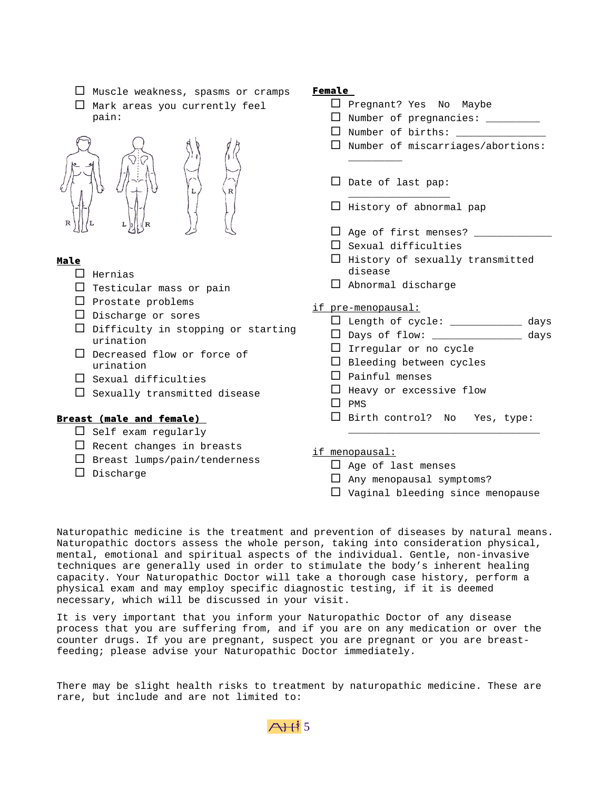- $\Box$  Muscle weakness, spasms or cramps
- $\Box$  Mark areas you currently feel pain:



# Male

- $\square$  Hernias
- $\Box$  Testicular mass or pain
- $\square$  Prostate problems
- $\square$  Discharge or sores
- $\Box$  Difficulty in stopping or starting urination
- □ Decreased flow or force of urination
- $\square$  Sexual difficulties
- $\square$  Sexually transmitted disease

### Breast (male and female)

- $\Box$  Self exam regularly
- $\Box$  Recent changes in breasts
- $\square$  Breast lumps/pain/tenderness
- $\square$  Discharge

#### Female

- $\Box$  Pregnant? Yes No Maybe
- $\square$  Number of pregnancies:  $\square$
- $\Box$  Number of births:  $\Box$
- $\Box$  Number of miscarriages/abortions:
- $\square$  Date of last pap:

 $\overline{\phantom{a}}$ 

 $\Box$  History of abnormal pap

 $\_$   $\_$ 

- $\Box$  Age of first menses?  $\_\_$
- $\square$  Sexual difficulties
- $\Box$  History of sexually transmitted disease
- $\Box$  Abnormal discharge
- if pre-menopausal:
	- Length of cycle: \_\_\_\_\_\_\_\_\_\_\_\_ days
	- $\square$  Days of flow: \_\_\_\_\_\_\_\_\_\_\_\_\_\_\_\_\_ days
	- $\Box$  Irregular or no cycle
	- $\square$  Bleeding between cycles
	- $\Box$  Painful menses
	- $\Box$  Heavy or excessive flow
	- $\Box$  PMS
	- $\square$  Birth control? No Yes, type:

 $\overline{\phantom{a}}$  , and the set of the set of the set of the set of the set of the set of the set of the set of the set of the set of the set of the set of the set of the set of the set of the set of the set of the set of the s

- if menopausal:
	- $\Box$  Age of last menses
	- $\Box$  Any menopausal symptoms?
	- $\Box$  Vaginal bleeding since menopause

Naturopathic medicine is the treatment and prevention of diseases by natural means. Naturopathic doctors assess the whole person, taking into consideration physical, mental, emotional and spiritual aspects of the individual. Gentle, non-invasive techniques are generally used in order to stimulate the body's inherent healing capacity. Your Naturopathic Doctor will take a thorough case history, perform a physical exam and may employ specific diagnostic testing, if it is deemed necessary, which will be discussed in your visit.

It is very important that you inform your Naturopathic Doctor of any disease process that you are suffering from, and if you are on any medication or over the counter drugs. If you are pregnant, suspect you are pregnant or you are breastfeeding; please advise your Naturopathic Doctor immediately.

There may be slight health risks to treatment by naturopathic medicine. These are rare, but include and are not limited to: